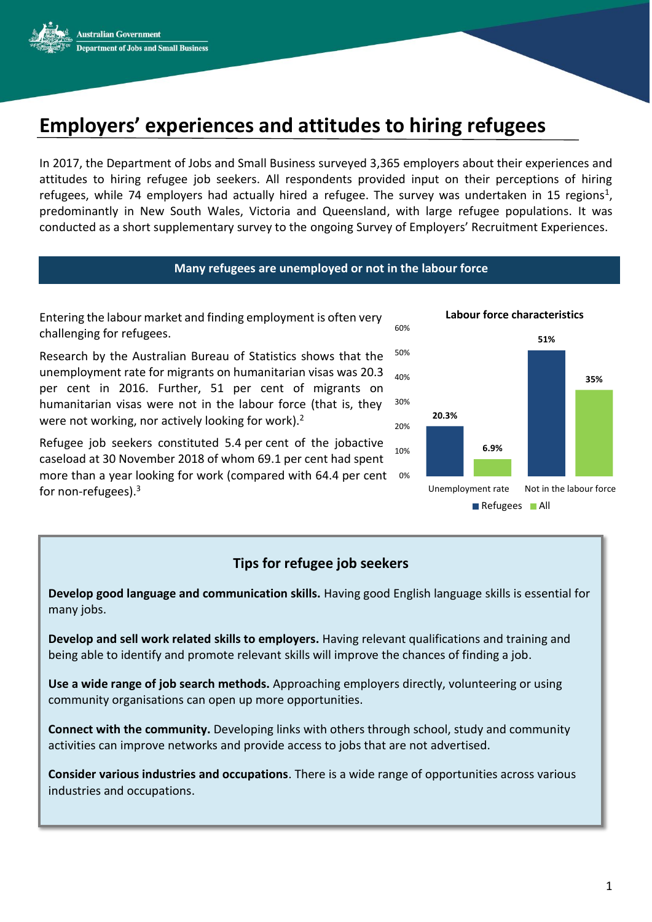

# **Employers' experiences and attitudes to hiring refugees**

In 2017, the Department of Jobs and Small Business surveyed 3,365 employers about their experiences and attitudes to hiring refugee job seekers. All respondents provided input on their perceptions of hiring refugees, while 74 employers had actually hired a refugee. The survey was undertaken in 15 regions<sup>1</sup>, predominantly in New South Wales, Victoria and Queensland, with large refugee populations. It was conducted as a short supplementary survey to the ongoing Survey of Employers' Recruitment Experiences.

### **Many refugees are unemployed or not in the labour force**

Entering the labour market and finding employment is often very challenging for refugees.

Research by the Australian Bureau of Statistics shows that the unemployment rate for migrants on humanitarian visas was 20.3 per cent in 2016. Further, 51 per cent of migrants on humanitarian visas were not in the labour force (that is, they were not working, nor actively looking for work).<sup>2</sup>

Refugee job seekers constituted 5.4 per cent of the jobactive caseload at 30 November 2018 of whom 69.1 per cent had spent more than a year looking for work (compared with 64.4 per cent 0% for non-refugees). 3 10%



# **Tips for refugee job seekers**

**Develop good language and communication skills.** Having good English language skills is essential for many jobs.

**Develop and sell work related skills to employers.** Having relevant qualifications and training and being able to identify and promote relevant skills will improve the chances of finding a job.

**Use a wide range of job search methods.** Approaching employers directly, volunteering or using community organisations can open up more opportunities.

**Connect with the community.** Developing links with others through school, study and community activities can improve networks and provide access to jobs that are not advertised.

**Consider various industries and occupations**. There is a wide range of opportunities across various industries and occupations.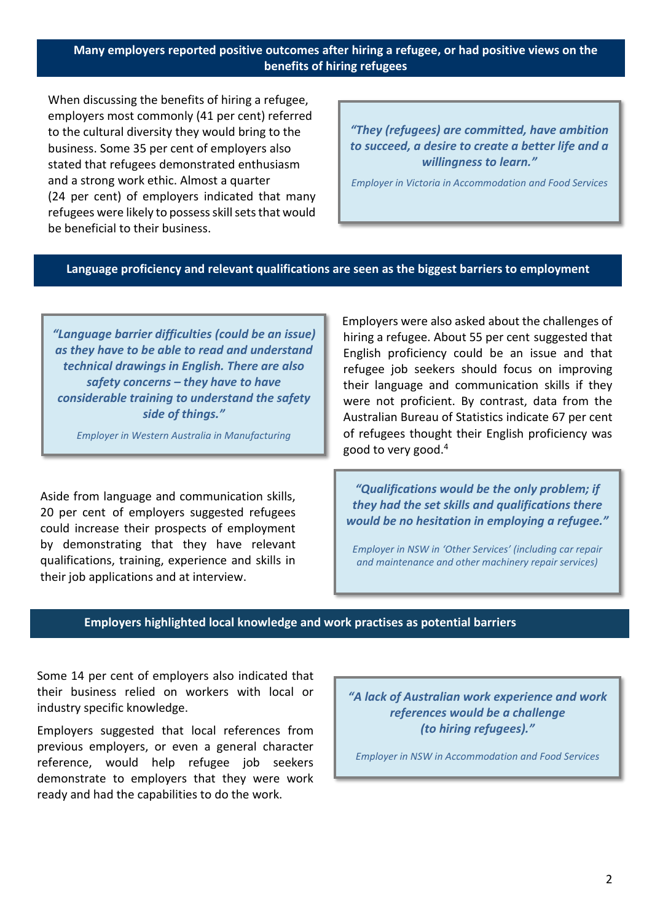## **Many employers reported positive outcomes after hiring a refugee, or had positive views on the benefits of hiring refugees**

When discussing the benefits of hiring a refugee, employers most commonly (41 per cent) referred to the cultural diversity they would bring to the business. Some 35 per cent of employers also stated that refugees demonstrated enthusiasm and a strong work ethic. Almost a quarter (24 per cent) of employers indicated that many refugees were likely to possess skill sets that would be beneficial to their business.

*"They (refugees) are committed, have ambition to succeed, a desire to create a better life and a willingness to learn."* 

*Employer in Victoria in Accommodation and Food Services*

### **Language proficiency and relevant qualifications are seen as the biggest barriers to employment**

*"Language barrier difficulties (could be an issue) as they have to be able to read and understand technical drawings in English. There are also safety concerns – they have to have considerable training to understand the safety side of things."*

*Employer in Western Australia in Manufacturing*

Aside from language and communication skills, 20 per cent of employers suggested refugees could increase their prospects of employment by demonstrating that they have relevant qualifications, training, experience and skills in their job applications and at interview.

Employers were also asked about the challenges of hiring a refugee. About 55 per cent suggested that English proficiency could be an issue and that refugee job seekers should focus on improving their language and communication skills if they were not proficient. By contrast, data from the Australian Bureau of Statistics indicate 67 per cent of refugees thought their English proficiency was good to very good.<sup>4</sup>

*"Qualifications would be the only problem; if they had the set skills and qualifications there would be no hesitation in employing a refugee."* 

*Employer in NSW in 'Other Services' (including car repair and maintenance and other machinery repair services)*

### **Employers highlighted local knowledge and work practises as potential barriers**

Some 14 per cent of employers also indicated that their business relied on workers with local or industry specific knowledge.

Employers suggested that local references from previous employers, or even a general character reference, would help refugee job seekers demonstrate to employers that they were work ready and had the capabilities to do the work.

*"A lack of Australian work experience and work references would be a challenge (to hiring refugees)."* 

*Employer in NSW in Accommodation and Food Services*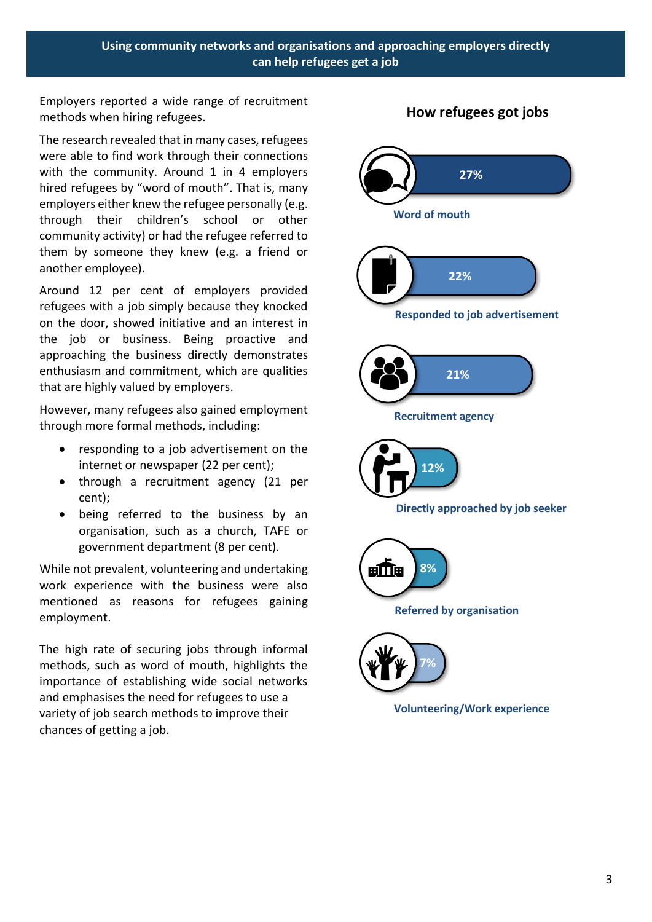Employers reported a wide range of recruitment methods when hiring refugees.

The research revealed that in many cases, refugees were able to find work through their connections with the community. Around 1 in 4 employers hired refugees by "word of mouth". That is, many employers either knew the refugee personally (e.g. through their children's school or other community activity) or had the refugee referred to them by someone they knew (e.g. a friend or another employee).

Around 12 per cent of employers provided refugees with a job simply because they knocked on the door, showed initiative and an interest in the job or business. Being proactive and approaching the business directly demonstrates enthusiasm and commitment, which are qualities that are highly valued by employers.

However, many refugees also gained employment through more formal methods, including:

- responding to a job advertisement on the internet or newspaper (22 per cent);
- through a recruitment agency (21 per cent);
- being referred to the business by an organisation, such as a church, TAFE or government department (8 per cent).

While not prevalent, volunteering and undertaking work experience with the business were also mentioned as reasons for refugees gaining employment.

The high rate of securing jobs through informal methods, such as word of mouth, highlights the importance of establishing wide social networks and emphasises the need for refugees to use a variety of job search methods to improve their chances of getting a job.



# **How refugees got jobs**